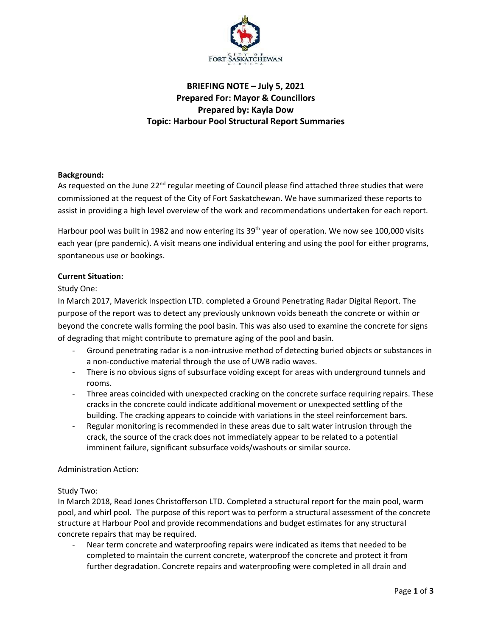

# **BRIEFING NOTE – July 5, 2021 Prepared For: Mayor & Councillors Prepared by: Kayla Dow Topic: Harbour Pool Structural Report Summaries**

# **Background:**

As requested on the June 22<sup>nd</sup> regular meeting of Council please find attached three studies that were commissioned at the request of the City of Fort Saskatchewan. We have summarized these reports to assist in providing a high level overview of the work and recommendations undertaken for each report.

Harbour pool was built in 1982 and now entering its 39<sup>th</sup> year of operation. We now see 100,000 visits each year (pre pandemic). A visit means one individual entering and using the pool for either programs, spontaneous use or bookings.

# **Current Situation:**

# Study One:

In March 2017, Maverick Inspection LTD. completed a Ground Penetrating Radar Digital Report. The purpose of the report was to detect any previously unknown voids beneath the concrete or within or beyond the concrete walls forming the pool basin. This was also used to examine the concrete for signs of degrading that might contribute to premature aging of the pool and basin.

- Ground penetrating radar is a non-intrusive method of detecting buried objects or substances in a non-conductive material through the use of UWB radio waves.
- There is no obvious signs of subsurface voiding except for areas with underground tunnels and rooms.
- Three areas coincided with unexpected cracking on the concrete surface requiring repairs. These cracks in the concrete could indicate additional movement or unexpected settling of the building. The cracking appears to coincide with variations in the steel reinforcement bars.
- Regular monitoring is recommended in these areas due to salt water intrusion through the crack, the source of the crack does not immediately appear to be related to a potential imminent failure, significant subsurface voids/washouts or similar source.

### Administration Action:

### Study Two:

In March 2018, Read Jones Christofferson LTD. Completed a structural report for the main pool, warm pool, and whirl pool. The purpose of this report was to perform a structural assessment of the concrete structure at Harbour Pool and provide recommendations and budget estimates for any structural concrete repairs that may be required.

Near term concrete and waterproofing repairs were indicated as items that needed to be completed to maintain the current concrete, waterproof the concrete and protect it from further degradation. Concrete repairs and waterproofing were completed in all drain and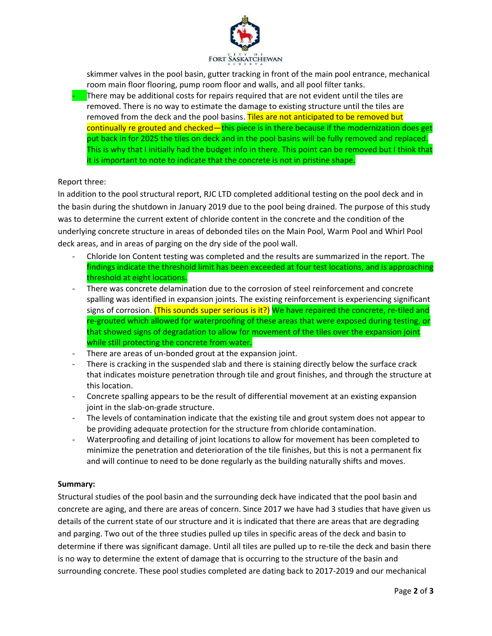

skimmer valves in the pool basin, gutter tracking in front of the main pool entrance, mechanical room main floor flooring, pump room floor and walls, and all pool filter tanks.  $\blacksquare$  There may be additional costs for repairs required that are not evident until the tiles are removed. There is no way to estimate the damage to existing structure until the tiles are removed from the deck and the pool basins. Tiles are not anticipated to be removed but continually re grouted and checked—this piece is in there because if the modernization does get put back in for 2025 the tiles on deck and in the pool basins will be fully removed and replaced. This is why that I initially had the budget info in there. This point can be removed but I think that it is important to note to indicate that the concrete is not in pristine shape.

# Report three:

In addition to the pool structural report, RJC LTD completed additional testing on the pool deck and in the basin during the shutdown in January 2019 due to the pool being drained. The purpose of this study was to determine the current extent of chloride content in the concrete and the condition of the underlying concrete structure in areas of debonded tiles on the Main Pool, Warm Pool and Whirl Pool deck areas, and in areas of parging on the dry side of the pool wall.

- Chloride Ion Content testing was completed and the results are summarized in the report. The findings indicate the threshold limit has been exceeded at four test locations, and is approaching threshold at eight locations.
- There was concrete delamination due to the corrosion of steel reinforcement and concrete spalling was identified in expansion joints. The existing reinforcement is experiencing significant signs of corrosion. (This sounds super serious is it?) We have repaired the concrete, re-tiled and re-grouted which allowed for waterproofing of these areas that were exposed during testing, or that showed signs of degradation to allow for movement of the tiles over the expansion joint while still protecting the concrete from water.
- There are areas of un-bonded grout at the expansion joint.
- There is cracking in the suspended slab and there is staining directly below the surface crack that indicates moisture penetration through tile and grout finishes, and through the structure at this location.
- Concrete spalling appears to be the result of differential movement at an existing expansion joint in the slab-on-grade structure.
- The levels of contamination indicate that the existing tile and grout system does not appear to be providing adequate protection for the structure from chloride contamination.
- Waterproofing and detailing of joint locations to allow for movement has been completed to minimize the penetration and deterioration of the tile finishes, but this is not a permanent fix and will continue to need to be done regularly as the building naturally shifts and moves.

### **Summary:**

Structural studies of the pool basin and the surrounding deck have indicated that the pool basin and concrete are aging, and there are areas of concern. Since 2017 we have had 3 studies that have given us details of the current state of our structure and it is indicated that there are areas that are degrading and parging. Two out of the three studies pulled up tiles in specific areas of the deck and basin to determine if there was significant damage. Until all tiles are pulled up to re-tile the deck and basin there is no way to determine the extent of damage that is occurring to the structure of the basin and surrounding concrete. These pool studies completed are dating back to 2017-2019 and our mechanical